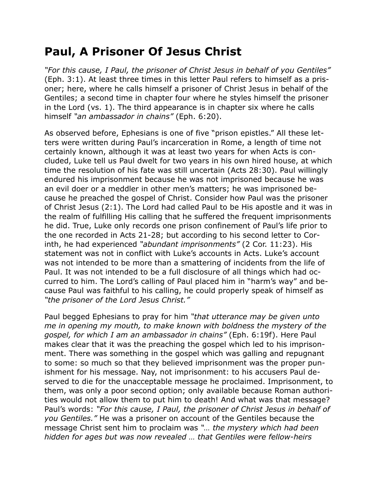## **Paul, A Prisoner Of Jesus Christ**

*"For this cause, I Paul, the prisoner of Christ Jesus in behalf of you Gentiles"* (Eph. 3:1). At least three times in this letter Paul refers to himself as a prisoner; here, where he calls himself a prisoner of Christ Jesus in behalf of the Gentiles; a second time in chapter four where he styles himself the prisoner in the Lord (vs. 1). The third appearance is in chapter six where he calls himself *"an ambassador in chains"* (Eph. 6:20).

As observed before, Ephesians is one of five "prison epistles." All these letters were written during Paul's incarceration in Rome, a length of time not certainly known, although it was at least two years for when Acts is concluded, Luke tell us Paul dwelt for two years in his own hired house, at which time the resolution of his fate was still uncertain (Acts 28:30). Paul willingly endured his imprisonment because he was not imprisoned because he was an evil doer or a meddler in other men's matters; he was imprisoned because he preached the gospel of Christ. Consider how Paul was the prisoner of Christ Jesus (2:1). The Lord had called Paul to be His apostle and it was in the realm of fulfilling His calling that he suffered the frequent imprisonments he did. True, Luke only records one prison confinement of Paul's life prior to the one recorded in Acts 21-28; but according to his second letter to Corinth, he had experienced *"abundant imprisonments"* (2 Cor. 11:23). His statement was not in conflict with Luke's accounts in Acts. Luke's account was not intended to be more than a smattering of incidents from the life of Paul. It was not intended to be a full disclosure of all things which had occurred to him. The Lord's calling of Paul placed him in "harm's way" and because Paul was faithful to his calling, he could properly speak of himself as *"the prisoner of the Lord Jesus Christ."*

Paul begged Ephesians to pray for him *"that utterance may be given unto me in opening my mouth, to make known with boldness the mystery of the gospel, for which I am an ambassador in chains"* (Eph. 6:19f). Here Paul makes clear that it was the preaching the gospel which led to his imprisonment. There was something in the gospel which was galling and repugnant to some: so much so that they believed imprisonment was the proper punishment for his message. Nay, not imprisonment: to his accusers Paul deserved to die for the unacceptable message he proclaimed. Imprisonment, to them, was only a poor second option; only available because Roman authorities would not allow them to put him to death! And what was that message? Paul's words: *"For this cause, I Paul, the prisoner of Christ Jesus in behalf of you Gentiles."* He was a prisoner on account of the Gentiles because the message Christ sent him to proclaim was *"… the mystery which had been hidden for ages but was now revealed … that Gentiles were fellow-heirs*